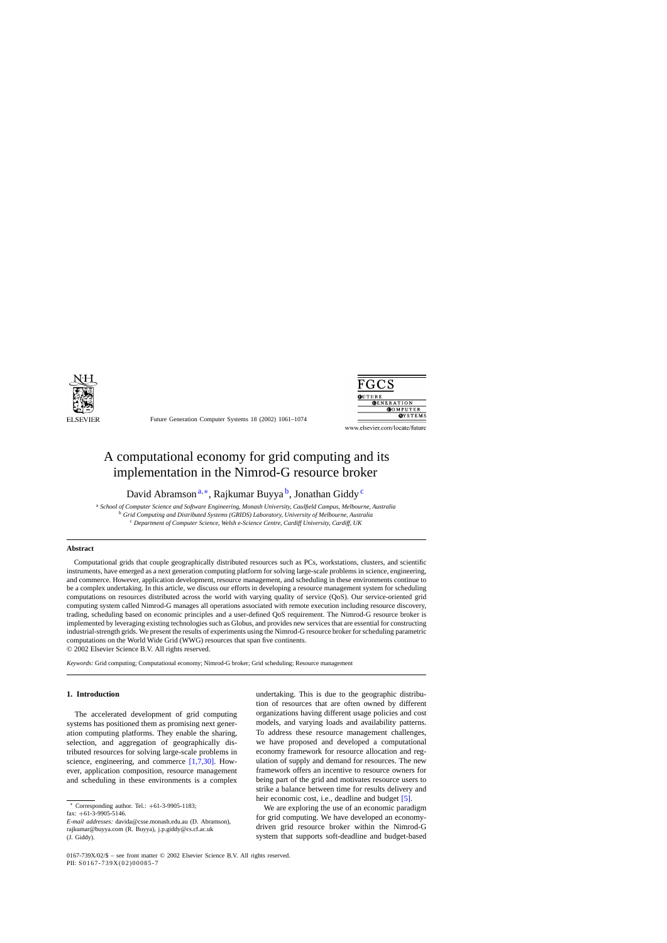

Future Generation Computer Systems 18 (2002) 1061–1074



www.elsevier.com/locate/future

# A computational economy for grid computing and its implementation in the Nimrod-G resource broker

David Abramson<sup>a,∗</sup>, Rajkumar Buyya<sup>b</sup>, Jonathan Giddy<sup>c</sup>

<sup>a</sup> *School of Computer Science and Software Engineering, Monash University, Caulfield Campus, Melbourne, Australia* <sup>b</sup> *Grid Computing and Distributed Systems (GRIDS) Laboratory, University of Melbourne, Australia* <sup>c</sup> *Department of Computer Science, Welsh e-Science Centre, Cardiff University, Cardiff, UK*

#### **Abstract**

Computational grids that couple geographically distributed resources such as PCs, workstations, clusters, and scientific instruments, have emerged as a next generation computing platform for solving large-scale problems in science, engineering, and commerce. However, application development, resource management, and scheduling in these environments continue to be a complex undertaking. In this article, we discuss our efforts in developing a resource management system for scheduling computations on resources distributed across the world with varying quality of service (QoS). Our service-oriented grid computing system called Nimrod-G manages all operations associated with remote execution including resource discovery, trading, scheduling based on economic principles and a user-defined QoS requirement. The Nimrod-G resource broker is implemented by leveraging existing technologies such as Globus, and provides new services that are essential for constructing industrial-strength grids. We present the results of experiments using the Nimrod-G resource broker for scheduling parametric computations on the World Wide Grid (WWG) resources that span five continents.

© 2002 Elsevier Science B.V. All rights reserved.

*Keywords:* Grid computing; Computational economy; Nimrod-G broker; Grid scheduling; Resource management

## **1. Introduction**

The accelerated development of grid computing systems has positioned them as promising next generation computing platforms. They enable the sharing, selection, and aggregation of geographically distributed resources for solving large-scale problems in science, engineering, and commerce [\[1,7,30\].](#page-11-0) However, application composition, resource management and scheduling in these environments is a complex

undertaking. This is due to the geographic distribution of resources that are often owned by different organizations having different usage policies and cost models, and varying loads and availability patterns. To address these resource management challenges, we have proposed and developed a computational economy framework for resource allocation and regulation of supply and demand for resources. The new framework offers an incentive to resource owners for being part of the grid and motivates resource users to strike a balance between time for results delivery and heir economic cost, i.e., deadline and budget [\[5\].](#page-11-0)

We are exploring the use of an economic paradigm for grid computing. We have developed an economydriven grid resource broker within the Nimrod-G system that supports soft-deadline and budget-based

<sup>∗</sup> Corresponding author. Tel.: +61-3-9905-1183;

fax: +61-3-9905-5146.

*E-mail addresses:* davida@csse.monash.edu.au (D. Abramson), rajkumar@buyya.com (R. Buyya), j.p.giddy@cs.cf.ac.uk (J. Giddy).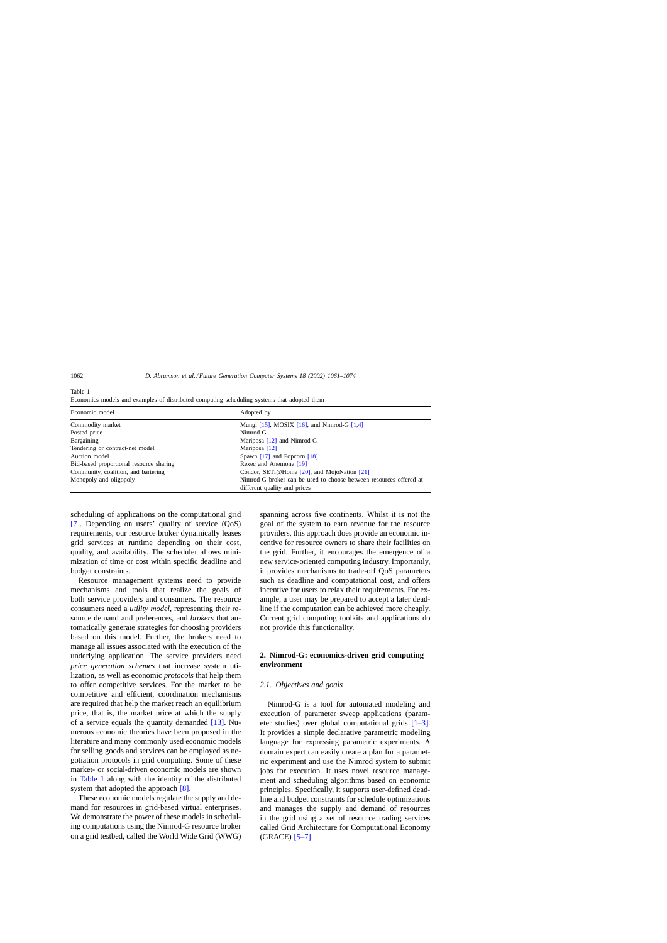| 1002    |  |
|---------|--|
| Table 1 |  |

| Economic model                          | Adopted by                                                         |
|-----------------------------------------|--------------------------------------------------------------------|
| Commodity market                        | Mungi [15], MOSIX [16], and Nimrod-G $[1,4]$                       |
| Posted price                            | Nimrod-G                                                           |
| Bargaining                              | Mariposa [12] and Nimrod-G                                         |
| Tendering or contract-net model         | Mariposa [12]                                                      |
| Auction model                           | Spawn $\lceil 17 \rceil$ and Popcorn $\lceil 18 \rceil$            |
| Bid-based proportional resource sharing | Rexec and Anemone [19]                                             |
| Community, coalition, and bartering     | Condor, SETI@Home [20], and MojoNation [21]                        |
| Monopoly and oligopoly                  | Nimrod-G broker can be used to choose between resources offered at |
|                                         | different quality and prices                                       |
|                                         |                                                                    |

Economics models and examples of distributed computing scheduling systems that adopted them

scheduling of applications on the computational grid [\[7\].](#page-12-0) Depending on users' quality of service (QoS) requirements, our resource broker dynamically leases grid services at runtime depending on their cost, quality, and availability. The scheduler allows minimization of time or cost within specific deadline and budget constraints.

Resource management systems need to provide mechanisms and tools that realize the goals of both service providers and consumers. The resource consumers need a *utility model*, representing their resource demand and preferences, and *brokers* that automatically generate strategies for choosing providers based on this model. Further, the brokers need to manage all issues associated with the execution of the underlying application. The service providers need *price generation schemes* that increase system utilization, as well as economic *protocols* that help them to offer competitive services. For the market to be competitive and efficient, coordination mechanisms are required that help the market reach an equilibrium price, that is, the market price at which the supply of a service equals the quantity demanded  $[13]$ . Numerous economic theories have been proposed in the literature and many commonly used economic models for selling goods and services can be employed as negotiation protocols in grid computing. Some of these market- or social-driven economic models are shown in Table 1 along with the identity of the distributed system that adopted the approach [\[8\].](#page-12-0)

These economic models regulate the supply and demand for resources in grid-based virtual enterprises. We demonstrate the power of these models in scheduling computations using the Nimrod-G resource broker on a grid testbed, called the World Wide Grid (WWG) spanning across five continents. Whilst it is not the goal of the system to earn revenue for the resource providers, this approach does provide an economic incentive for resource owners to share their facilities on the grid. Further, it encourages the emergence of a new service-oriented computing industry. Importantly, it provides mechanisms to trade-off QoS parameters such as deadline and computational cost, and offers incentive for users to relax their requirements. For example, a user may be prepared to accept a later deadline if the computation can be achieved more cheaply. Current grid computing toolkits and applications do not provide this functionality.

# **2. Nimrod-G: economics-driven grid computing environment**

#### *2.1. Objectives and goals*

Nimrod-G is a tool for automated modeling and execution of parameter sweep applications (parameter studies) over global computational grids  $[1-3]$ . It provides a simple declarative parametric modeling language for expressing parametric experiments. A domain expert can easily create a plan for a parametric experiment and use the Nimrod system to submit jobs for execution. It uses novel resource management and scheduling algorithms based on economic principles. Specifically, it supports user-defined deadline and budget constraints for schedule optimizations and manages the supply and demand of resources in the grid using a set of resource trading services called Grid Architecture for Computational Economy (GRACE) [\[5–7\].](#page-11-0)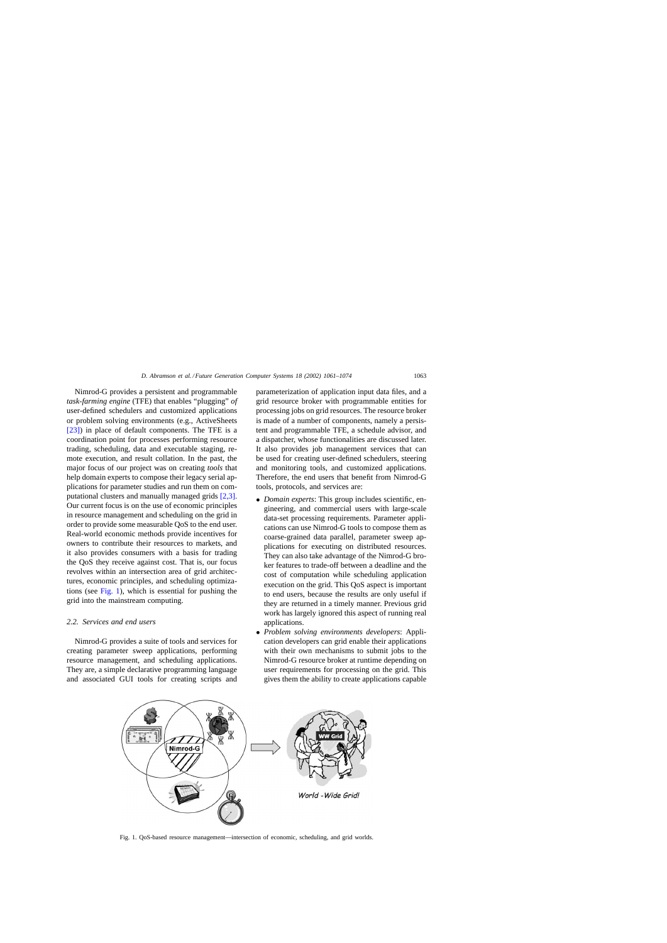Nimrod-G provides a persistent and programmable *task-farming engine* (TFE) that enables "plugging" *of* user-defined schedulers and customized applications or problem solving environments (e.g., ActiveSheets [\[23\]\)](#page-12-0) in place of default components. The TFE is a coordination point for processes performing resource trading, scheduling, data and executable staging, remote execution, and result collation. In the past, the major focus of our project was on creating *tools* that help domain experts to compose their legacy serial applications for parameter studies and run them on computational clusters and manually managed grids [\[2,3\].](#page-11-0) Our current focus is on the use of economic principles in resource management and scheduling on the grid in order to provide some measurable QoS to the end user. Real-world economic methods provide incentives for owners to contribute their resources to markets, and it also provides consumers with a basis for trading the QoS they receive against cost. That is, our focus revolves within an intersection area of grid architectures, economic principles, and scheduling optimizations (see Fig. 1), which is essential for pushing the grid into the mainstream computing.

#### *2.2. Services and end users*

Nimrod-G provides a suite of tools and services for creating parameter sweep applications, performing resource management, and scheduling applications. They are, a simple declarative programming language and associated GUI tools for creating scripts and parameterization of application input data files, and a grid resource broker with programmable entities for processing jobs on grid resources. The resource broker is made of a number of components, namely a persistent and programmable TFE, a schedule advisor, and a dispatcher, whose functionalities are discussed later. It also provides job management services that can be used for creating user-defined schedulers, steering and monitoring tools, and customized applications. Therefore, the end users that benefit from Nimrod-G tools, protocols, and services are:

- *Domain experts*: This group includes scientific, engineering, and commercial users with large-scale data-set processing requirements. Parameter applications can use Nimrod-G tools to compose them as coarse-grained data parallel, parameter sweep applications for executing on distributed resources. They can also take advantage of the Nimrod-G broker features to trade-off between a deadline and the cost of computation while scheduling application execution on the grid. This QoS aspect is important to end users, because the results are only useful if they are returned in a timely manner. Previous grid work has largely ignored this aspect of running real applications.
- *Problem solving environments developers*: Application developers can grid enable their applications with their own mechanisms to submit jobs to the Nimrod-G resource broker at runtime depending on user requirements for processing on the grid. This gives them the ability to create applications capable



Fig. 1. QoS-based resource management—intersection of economic, scheduling, and grid worlds.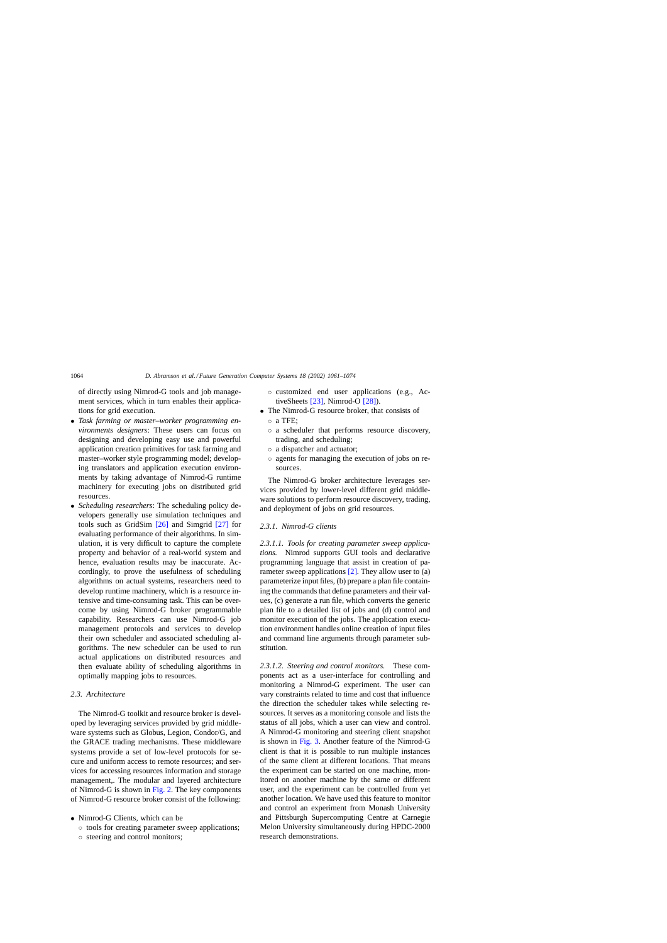of directly using Nimrod-G tools and job management services, which in turn enables their applications for grid execution.

- *Task farming or master–worker programming environments designers*: These users can focus on designing and developing easy use and powerful application creation primitives for task farming and master–worker style programming model; developing translators and application execution environments by taking advantage of Nimrod-G runtime machinery for executing jobs on distributed grid resources.
- *Scheduling researchers*: The scheduling policy developers generally use simulation techniques and tools such as GridSim [\[26\]](#page-12-0) and Simgrid [\[27\]](#page-12-0) for evaluating performance of their algorithms. In simulation, it is very difficult to capture the complete property and behavior of a real-world system and hence, evaluation results may be inaccurate. Accordingly, to prove the usefulness of scheduling algorithms on actual systems, researchers need to develop runtime machinery, which is a resource intensive and time-consuming task. This can be overcome by using Nimrod-G broker programmable capability. Researchers can use Nimrod-G job management protocols and services to develop their own scheduler and associated scheduling algorithms. The new scheduler can be used to run actual applications on distributed resources and then evaluate ability of scheduling algorithms in optimally mapping jobs to resources.

# *2.3. Architecture*

The Nimrod-G toolkit and resource broker is developed by leveraging services provided by grid middleware systems such as Globus, Legion, Condor/G, and the GRACE trading mechanisms. These middleware systems provide a set of low-level protocols for secure and uniform access to remote resources; and services for accessing resources information and storage management,. The modular and layered architecture of Nimrod-G is shown in [Fig. 2.](#page-4-0) The key components of Nimrod-G resource broker consist of the following:

- Nimrod-G Clients, which can be
	- tools for creating parameter sweep applications;
	- steering and control monitors;
- customized end user applications (e.g., ActiveSheets [\[23\],](#page-12-0) Nimrod-O [\[28\]\).](#page-12-0)
- The Nimrod-G resource broker, that consists of ◦ a TFE;
	- a scheduler that performs resource discovery, trading, and scheduling;
	- a dispatcher and actuator;
	- agents for managing the execution of jobs on resources.

The Nimrod-G broker architecture leverages services provided by lower-level different grid middleware solutions to perform resource discovery, trading, and deployment of jobs on grid resources.

## *2.3.1. Nimrod-G clients*

*2.3.1.1. Tools for creating parameter sweep applications.* Nimrod supports GUI tools and declarative programming language that assist in creation of parameter sweep applications  $[2]$ . They allow user to (a) parameterize input files, (b) prepare a plan file containing the commands that define parameters and their values, (c) generate a run file, which converts the generic plan file to a detailed list of jobs and (d) control and monitor execution of the jobs. The application execution environment handles online creation of input files and command line arguments through parameter substitution.

*2.3.1.2. Steering and control monitors.* These components act as a user-interface for controlling and monitoring a Nimrod-G experiment. The user can vary constraints related to time and cost that influence the direction the scheduler takes while selecting resources. It serves as a monitoring console and lists the status of all jobs, which a user can view and control. A Nimrod-G monitoring and steering client snapshot is shown in [Fig. 3.](#page-5-0) Another feature of the Nimrod-G client is that it is possible to run multiple instances of the same client at different locations. That means the experiment can be started on one machine, monitored on another machine by the same or different user, and the experiment can be controlled from yet another location. We have used this feature to monitor and control an experiment from Monash University and Pittsburgh Supercomputing Centre at Carnegie Melon University simultaneously during HPDC-2000 research demonstrations.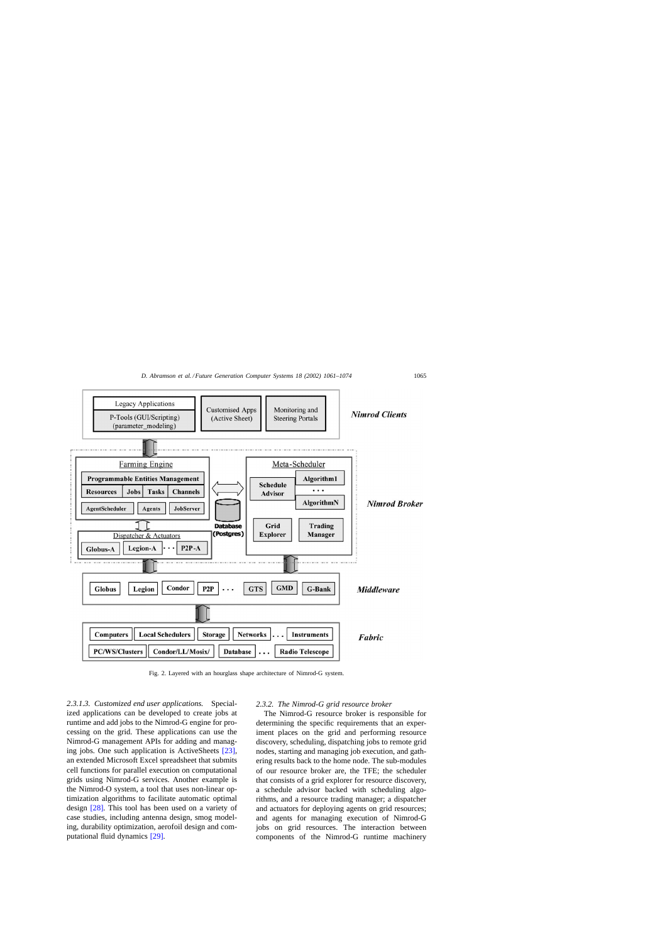<span id="page-4-0"></span>

Fig. 2. Layered with an hourglass shape architecture of Nimrod-G system.

*2.3.1.3. Customized end user applications.* Specialized applications can be developed to create jobs at runtime and add jobs to the Nimrod-G engine for processing on the grid. These applications can use the Nimrod-G management APIs for adding and managing jobs. One such application is ActiveSheets [\[23\],](#page-12-0) an extended Microsoft Excel spreadsheet that submits cell functions for parallel execution on computational grids using Nimrod-G services. Another example is the Nimrod-O system, a tool that uses non-linear optimization algorithms to facilitate automatic optimal design [\[28\].](#page-12-0) This tool has been used on a variety of case studies, including antenna design, smog modeling, durability optimization, aerofoil design and computational fluid dynamics [\[29\].](#page-12-0)

## *2.3.2. The Nimrod-G grid resource broker*

The Nimrod-G resource broker is responsible for determining the specific requirements that an experiment places on the grid and performing resource discovery, scheduling, dispatching jobs to remote grid nodes, starting and managing job execution, and gathering results back to the home node. The sub-modules of our resource broker are, the TFE; the scheduler that consists of a grid explorer for resource discovery, a schedule advisor backed with scheduling algorithms, and a resource trading manager; a dispatcher and actuators for deploying agents on grid resources; and agents for managing execution of Nimrod-G jobs on grid resources. The interaction between components of the Nimrod-G runtime machinery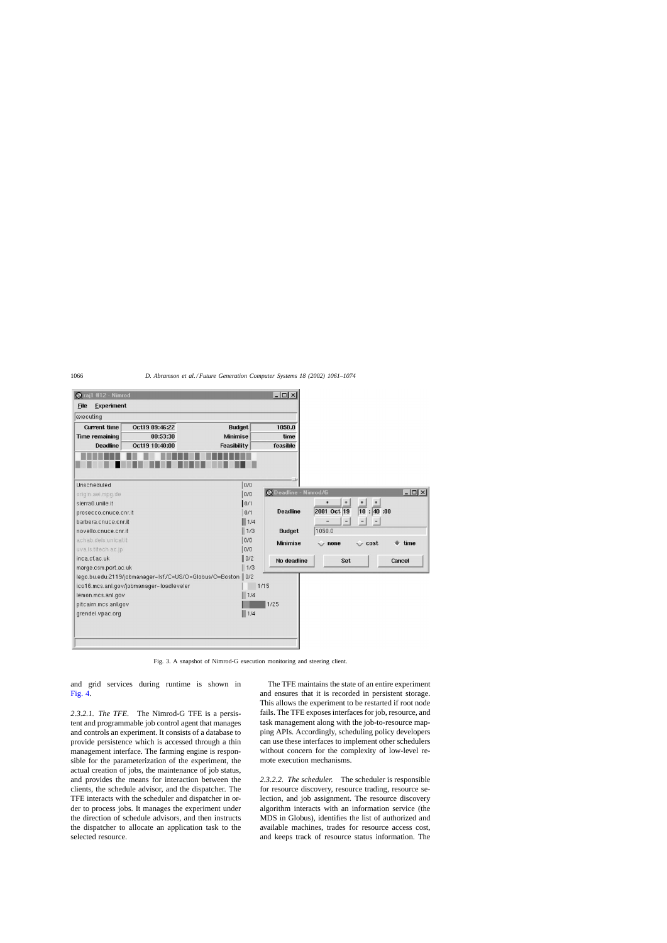

Fig. 3. A snapshot of Nimrod-G execution monitoring and steering client.

and grid services during runtime is shown in [Fig. 4.](#page-6-0)

*2.3.2.1. The TFE.* The Nimrod-G TFE is a persistent and programmable job control agent that manages and controls an experiment. It consists of a database to provide persistence which is accessed through a thin management interface. The farming engine is responsible for the parameterization of the experiment, the actual creation of jobs, the maintenance of job status, and provides the means for interaction between the clients, the schedule advisor, and the dispatcher. The TFE interacts with the scheduler and dispatcher in order to process jobs. It manages the experiment under the direction of schedule advisors, and then instructs the dispatcher to allocate an application task to the selected resource.

The TFE maintains the state of an entire experiment and ensures that it is recorded in persistent storage. This allows the experiment to be restarted if root node fails. The TFE exposes interfaces for job, resource, and task management along with the job-to-resource mapping APIs. Accordingly, scheduling policy developers can use these interfaces to implement other schedulers without concern for the complexity of low-level remote execution mechanisms.

*2.3.2.2. The scheduler.* The scheduler is responsible for resource discovery, resource trading, resource selection, and job assignment. The resource discovery algorithm interacts with an information service (the MDS in Globus), identifies the list of authorized and available machines, trades for resource access cost, and keeps track of resource status information. The

<span id="page-5-0"></span>1066 *D. Abramson et al. / Future Generation Computer Systems 18 (2002) 1061–1074*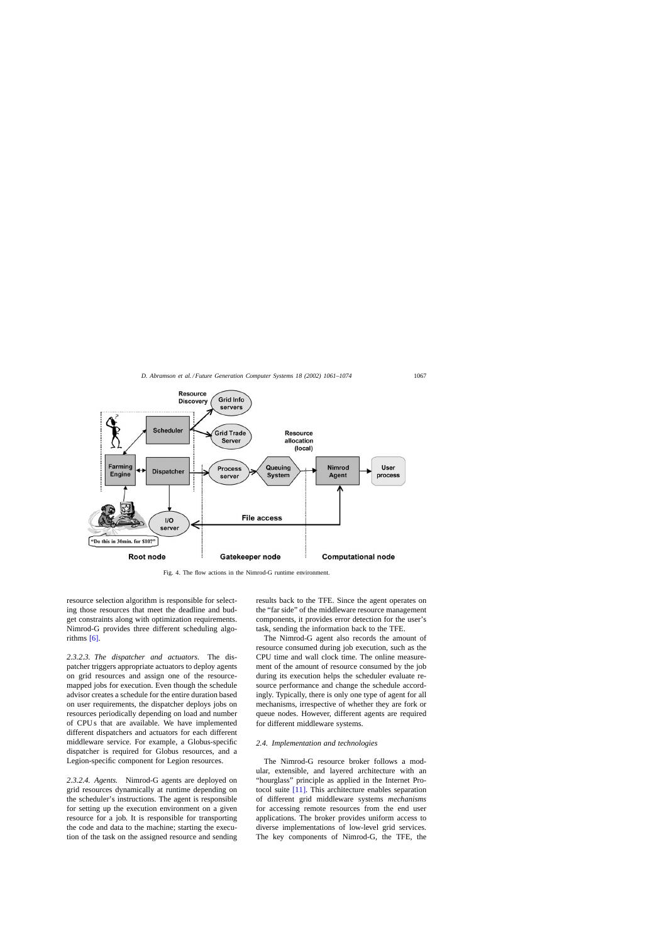<span id="page-6-0"></span>

Fig. 4. The flow actions in the Nimrod-G runtime environment.

resource selection algorithm is responsible for selecting those resources that meet the deadline and budget constraints along with optimization requirements. Nimrod-G provides three different scheduling algorithms [\[6\].](#page-11-0)

*2.3.2.3. The dispatcher and actuators.* The dispatcher triggers appropriate actuators to deploy agents on grid resources and assign one of the resourcemapped jobs for execution. Even though the schedule advisor creates a schedule for the entire duration based on user requirements, the dispatcher deploys jobs on resources periodically depending on load and number of CPU s that are available. We have implemented different dispatchers and actuators for each different middleware service. For example, a Globus-specific dispatcher is required for Globus resources, and a Legion-specific component for Legion resources.

*2.3.2.4. Agents.* Nimrod-G agents are deployed on grid resources dynamically at runtime depending on the scheduler's instructions. The agent is responsible for setting up the execution environment on a given resource for a job. It is responsible for transporting the code and data to the machine; starting the execution of the task on the assigned resource and sending

results back to the TFE. Since the agent operates on the "far side" of the middleware resource management components, it provides error detection for the user's task, sending the information back to the TFE.

The Nimrod-G agent also records the amount of resource consumed during job execution, such as the CPU time and wall clock time. The online measurement of the amount of resource consumed by the job during its execution helps the scheduler evaluate resource performance and change the schedule accordingly. Typically, there is only one type of agent for all mechanisms, irrespective of whether they are fork or queue nodes. However, different agents are required for different middleware systems.

#### *2.4. Implementation and technologies*

The Nimrod-G resource broker follows a modular, extensible, and layered architecture with an "hourglass" principle as applied in the Internet Protocol suite [\[11\].](#page-12-0) This architecture enables separation of different grid middleware systems *mechanisms* for accessing remote resources from the end user applications. The broker provides uniform access to diverse implementations of low-level grid services. The key components of Nimrod-G, the TFE, the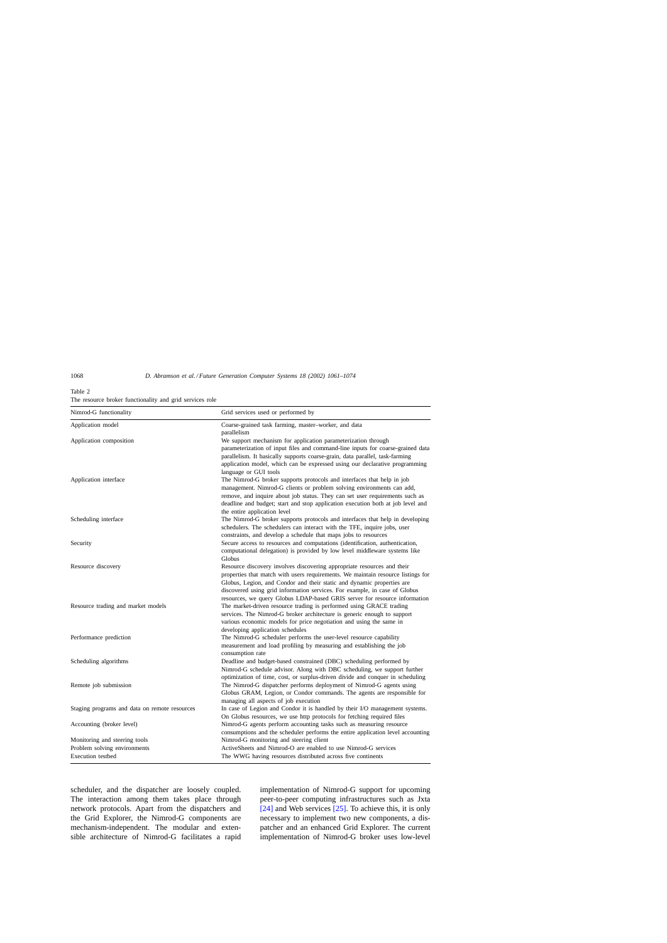#### Table 2

The resource broker functionality and grid services role

| Nimrod-G functionality                        | Grid services used or performed by                                                                                                                                                                                                                                                                                                                                                                |  |  |
|-----------------------------------------------|---------------------------------------------------------------------------------------------------------------------------------------------------------------------------------------------------------------------------------------------------------------------------------------------------------------------------------------------------------------------------------------------------|--|--|
| Application model                             | Coarse-grained task farming, master–worker, and data<br>parallelism                                                                                                                                                                                                                                                                                                                               |  |  |
| Application composition                       | We support mechanism for application parameterization through                                                                                                                                                                                                                                                                                                                                     |  |  |
|                                               | parameterization of input files and command-line inputs for coarse-grained data<br>parallelism. It basically supports coarse-grain, data parallel, task-farming<br>application model, which can be expressed using our declarative programming<br>language or GUI tools                                                                                                                           |  |  |
| Application interface                         | The Nimrod-G broker supports protocols and interfaces that help in job<br>management. Nimrod-G clients or problem solving environments can add,<br>remove, and inquire about job status. They can set user requirements such as<br>deadline and budget; start and stop application execution both at job level and<br>the entire application level                                                |  |  |
| Scheduling interface                          | The Nimrod-G broker supports protocols and interfaces that help in developing<br>schedulers. The schedulers can interact with the TFE, inquire jobs, user<br>constraints, and develop a schedule that maps jobs to resources                                                                                                                                                                      |  |  |
| Security                                      | Secure access to resources and computations (identification, authentication,<br>computational delegation) is provided by low level middleware systems like<br>Globus                                                                                                                                                                                                                              |  |  |
| Resource discovery                            | Resource discovery involves discovering appropriate resources and their<br>properties that match with users requirements. We maintain resource listings for<br>Globus, Legion, and Condor and their static and dynamic properties are<br>discovered using grid information services. For example, in case of Globus<br>resources, we query Globus LDAP-based GRIS server for resource information |  |  |
| Resource trading and market models            | The market-driven resource trading is performed using GRACE trading<br>services. The Nimrod-G broker architecture is generic enough to support<br>various economic models for price negotiation and using the same in<br>developing application schedules                                                                                                                                         |  |  |
| Performance prediction                        | The Nimrod-G scheduler performs the user-level resource capability<br>measurement and load profiling by measuring and establishing the job<br>consumption rate                                                                                                                                                                                                                                    |  |  |
| Scheduling algorithms                         | Deadline and budget-based constrained (DBC) scheduling performed by<br>Nimrod-G schedule advisor. Along with DBC scheduling, we support further<br>optimization of time, cost, or surplus-driven divide and conquer in scheduling                                                                                                                                                                 |  |  |
| Remote job submission                         | The Nimrod-G dispatcher performs deployment of Nimrod-G agents using<br>Globus GRAM, Legion, or Condor commands. The agents are responsible for<br>managing all aspects of job execution                                                                                                                                                                                                          |  |  |
| Staging programs and data on remote resources | In case of Legion and Condor it is handled by their I/O management systems.<br>On Globus resources, we use http protocols for fetching required files                                                                                                                                                                                                                                             |  |  |
| Accounting (broker level)                     | Nimrod-G agents perform accounting tasks such as measuring resource<br>consumptions and the scheduler performs the entire application level accounting                                                                                                                                                                                                                                            |  |  |
| Monitoring and steering tools                 | Nimrod-G monitoring and steering client                                                                                                                                                                                                                                                                                                                                                           |  |  |
| Problem solving environments                  | ActiveSheets and Nimrod-O are enabled to use Nimrod-G services                                                                                                                                                                                                                                                                                                                                    |  |  |
| <b>Execution</b> testbed                      | The WWG having resources distributed across five continents                                                                                                                                                                                                                                                                                                                                       |  |  |

scheduler, and the dispatcher are loosely coupled. The interaction among them takes place through network protocols. Apart from the dispatchers and the Grid Explorer, the Nimrod-G components are mechanism-independent. The modular and extensible architecture of Nimrod-G facilitates a rapid

implementation of Nimrod-G support for upcoming peer-to-peer computing infrastructures such as Jxta  $\frac{1}{24}$  and Web services  $\frac{25}{125}$ . To achieve this, it is only necessary to implement two new components, a dispatcher and an enhanced Grid Explorer. The current implementation of Nimrod-G broker uses low-level

<span id="page-7-0"></span>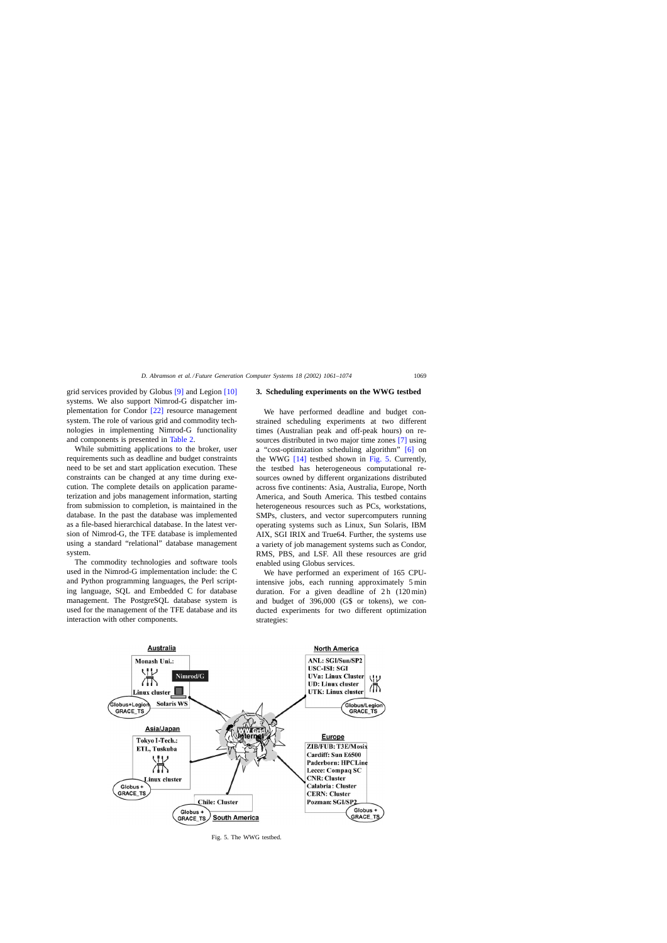grid services provided by Globus [\[9\]](#page-12-0) and Legion [\[10\]](#page-12-0) systems. We also support Nimrod-G dispatcher implementation for Condor [\[22\]](#page-12-0) resource management system. The role of various grid and commodity technologies in implementing Nimrod-G functionality and components is presented in [Table 2.](#page-7-0)

While submitting applications to the broker, user requirements such as deadline and budget constraints need to be set and start application execution. These constraints can be changed at any time during execution. The complete details on application parameterization and jobs management information, starting from submission to completion, is maintained in the database. In the past the database was implemented as a file-based hierarchical database. In the latest version of Nimrod-G, the TFE database is implemented using a standard "relational" database management system.

The commodity technologies and software tools used in the Nimrod-G implementation include: the C and Python programming languages, the Perl scripting language, SQL and Embedded C for database management. The PostgreSQL database system is used for the management of the TFE database and its interaction with other components.

#### **3. Scheduling experiments on the WWG testbed**

We have performed deadline and budget constrained scheduling experiments at two different times (Australian peak and off-peak hours) on resources distributed in two major time zones [\[7\]](#page-12-0) using a "cost-optimization scheduling algorithm" [\[6\]](#page-11-0) on the WWG [\[14\]](#page-12-0) testbed shown in Fig. 5. Currently, the testbed has heterogeneous computational resources owned by different organizations distributed across five continents: Asia, Australia, Europe, North America, and South America. This testbed contains heterogeneous resources such as PCs, workstations, SMPs, clusters, and vector supercomputers running operating systems such as Linux, Sun Solaris, IBM AIX, SGI IRIX and True64. Further, the systems use a variety of job management systems such as Condor, RMS, PBS, and LSF. All these resources are grid enabled using Globus services.

We have performed an experiment of 165 CPUintensive jobs, each running approximately 5 min duration. For a given deadline of  $2 h$  (120 min) and budget of 396,000 (G\$ or tokens), we conducted experiments for two different optimization strategies:



Fig. 5. The WWG testbed.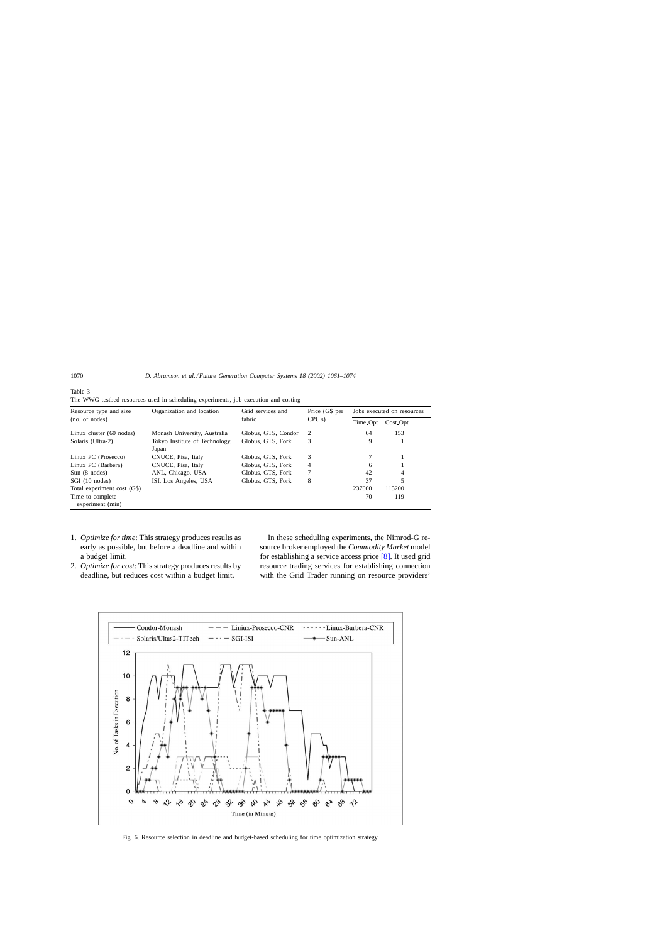| Resource type and size<br>(no. of nodes) | Organization and location               | Grid services and<br>fabric | Price (G\$ per<br>CPUs) | Jobs executed on resources |         |
|------------------------------------------|-----------------------------------------|-----------------------------|-------------------------|----------------------------|---------|
|                                          |                                         |                             |                         | Time_Opt                   | $Cost_$ |
| Linux cluster (60 nodes)                 | Monash University, Australia            | Globus, GTS, Condor         | $\overline{2}$          | 64                         | 153     |
| Solaris (Ultra-2)                        | Tokyo Institute of Technology,<br>Japan | Globus, GTS, Fork           | 3                       | 9                          |         |
| Linux PC (Prosecco)                      | CNUCE, Pisa, Italy                      | Globus, GTS, Fork           | 3                       | 7                          |         |
| Linux PC (Barbera)                       | CNUCE, Pisa, Italy                      | Globus, GTS, Fork           | 4                       | 6                          |         |
| Sun $(8 \text{ nodes})$                  | ANL, Chicago, USA                       | Globus, GTS, Fork           |                         | 42                         | 4       |
| SGI (10 nodes)                           | ISI, Los Angeles, USA                   | Globus, GTS, Fork           | 8                       | 37                         |         |
| Total experiment cost (G\$)              |                                         |                             |                         | 237000                     | 115200  |
| Time to complete<br>experiment (min)     |                                         |                             |                         | 70                         | 119     |

Table 3 The WWG testbed resources used in scheduling experiments, job execution and costing

- 1. *Optimize for time*: This strategy produces results as early as possible, but before a deadline and within a budget limit.
- 2. *Optimize for cost*: This strategy produces results by deadline, but reduces cost within a budget limit.

In these scheduling experiments, the Nimrod-G resource broker employed the *Commodity Market* model for establishing a service access price  $[8]$ . It used grid resource trading services for establishing connection with the Grid Trader running on resource providers'



Fig. 6. Resource selection in deadline and budget-based scheduling for time optimization strategy.

<span id="page-9-0"></span>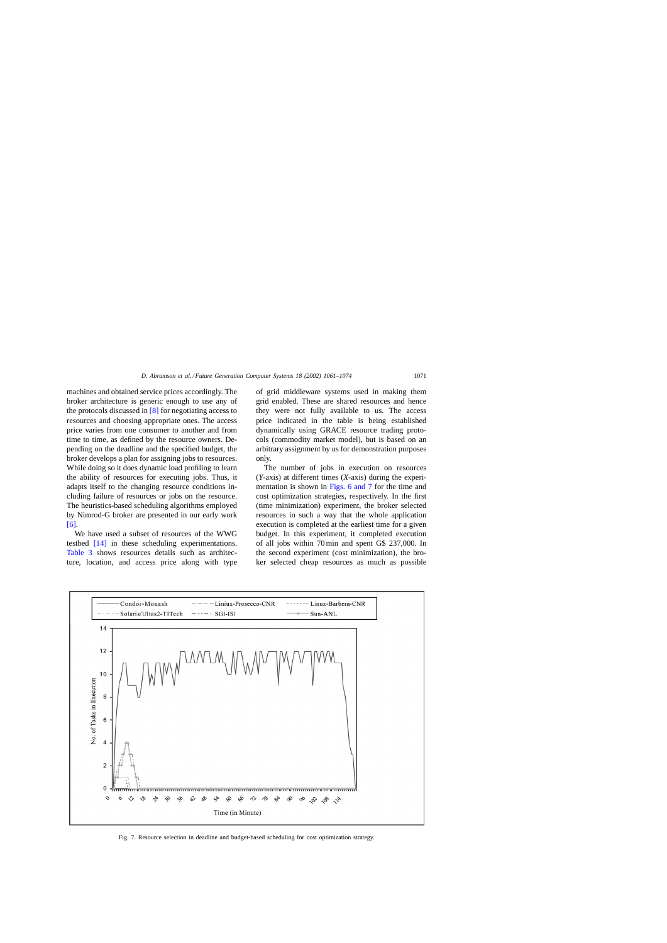machines and obtained service prices accordingly. The broker architecture is generic enough to use any of the protocols discussed in  $[8]$  for negotiating access to resources and choosing appropriate ones. The access price varies from one consumer to another and from time to time, as defined by the resource owners. Depending on the deadline and the specified budget, the broker develops a plan for assigning jobs to resources. While doing so it does dynamic load profiling to learn the ability of resources for executing jobs. Thus, it adapts itself to the changing resource conditions including failure of resources or jobs on the resource. The heuristics-based scheduling algorithms employed by Nimrod-G broker are presented in our early work [\[6\].](#page-11-0)

We have used a subset of resources of the WWG testbed [\[14\]](#page-12-0) in these scheduling experimentations. [Table 3](#page-9-0) shows resources details such as architecture, location, and access price along with type

of grid middleware systems used in making them grid enabled. These are shared resources and hence they were not fully available to us. The access price indicated in the table is being established dynamically using GRACE resource trading protocols (commodity market model), but is based on an arbitrary assignment by us for demonstration purposes only.

The number of jobs in execution on resources (*Y*-axis) at different times (*X*-axis) during the experimentation is shown in [Figs. 6 and 7](#page-9-0) for the time and cost optimization strategies, respectively. In the first (time minimization) experiment, the broker selected resources in such a way that the whole application execution is completed at the earliest time for a given budget. In this experiment, it completed execution of all jobs within 70 min and spent G\$ 237,000. In the second experiment (cost minimization), the broker selected cheap resources as much as possible



Fig. 7. Resource selection in deadline and budget-based scheduling for cost optimization strategy.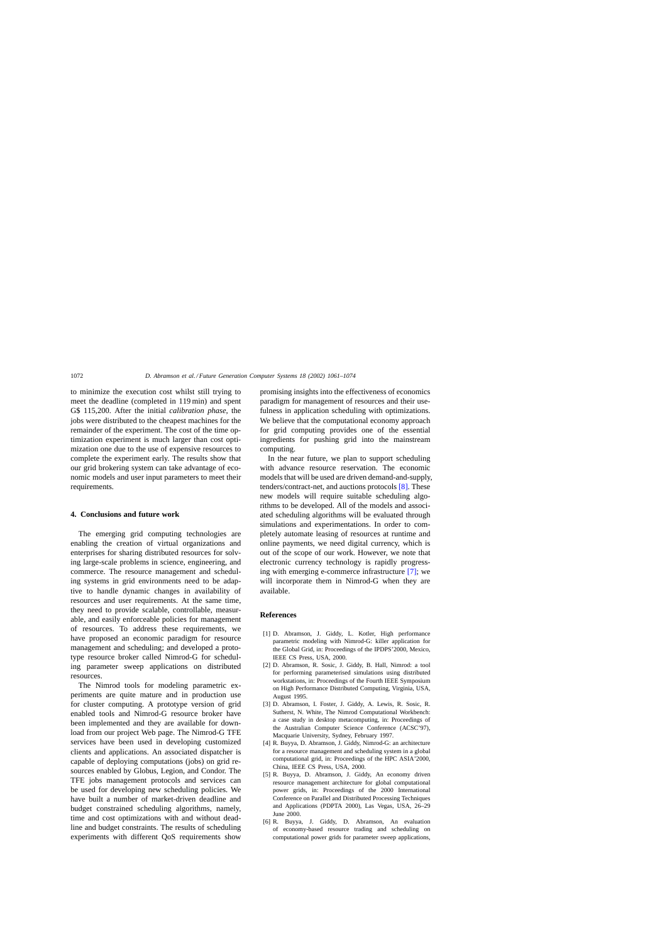<span id="page-11-0"></span>to minimize the execution cost whilst still trying to meet the deadline (completed in 119 min) and spent G\$ 115,200. After the initial *calibration phase*, the jobs were distributed to the cheapest machines for the remainder of the experiment. The cost of the time optimization experiment is much larger than cost optimization one due to the use of expensive resources to complete the experiment early. The results show that our grid brokering system can take advantage of economic models and user input parameters to meet their requirements.

# **4. Conclusions and future work**

The emerging grid computing technologies are enabling the creation of virtual organizations and enterprises for sharing distributed resources for solving large-scale problems in science, engineering, and commerce. The resource management and scheduling systems in grid environments need to be adaptive to handle dynamic changes in availability of resources and user requirements. At the same time, they need to provide scalable, controllable, measurable, and easily enforceable policies for management of resources. To address these requirements, we have proposed an economic paradigm for resource management and scheduling; and developed a prototype resource broker called Nimrod-G for scheduling parameter sweep applications on distributed resources.

The Nimrod tools for modeling parametric experiments are quite mature and in production use for cluster computing. A prototype version of grid enabled tools and Nimrod-G resource broker have been implemented and they are available for download from our project Web page. The Nimrod-G TFE services have been used in developing customized clients and applications. An associated dispatcher is capable of deploying computations (jobs) on grid resources enabled by Globus, Legion, and Condor. The TFE jobs management protocols and services can be used for developing new scheduling policies. We have built a number of market-driven deadline and budget constrained scheduling algorithms, namely, time and cost optimizations with and without deadline and budget constraints. The results of scheduling experiments with different QoS requirements show promising insights into the effectiveness of economics paradigm for management of resources and their usefulness in application scheduling with optimizations. We believe that the computational economy approach for grid computing provides one of the essential ingredients for pushing grid into the mainstream computing.

In the near future, we plan to support scheduling with advance resource reservation. The economic models that will be used are driven demand-and-supply, tenders/contract-net, and auctions protocols [\[8\]. T](#page-12-0)hese new models will require suitable scheduling algorithms to be developed. All of the models and associated scheduling algorithms will be evaluated through simulations and experimentations. In order to completely automate leasing of resources at runtime and online payments, we need digital currency, which is out of the scope of our work. However, we note that electronic currency technology is rapidly progressing with emerging e-commerce infrastructure [\[7\];](#page-12-0) we will incorporate them in Nimrod-G when they are available.

#### **References**

- [1] D. Abramson, J. Giddy, L. Kotler, High performance parametric modeling with Nimrod-G: killer application for the Global Grid, in: Proceedings of the IPDPS'2000, Mexico, IEEE CS Press, USA, 2000.
- [2] D. Abramson, R. Sosic, J. Giddy, B. Hall, Nimrod: a tool for performing parameterised simulations using distributed workstations, in: Proceedings of the Fourth IEEE Symposium on High Performance Distributed Computing, Virginia, USA, August 1995.
- [3] D. Abramson, I. Foster, J. Giddy, A. Lewis, R. Sosic, R. Sutherst, N. White, The Nimrod Computational Workbench: a case study in desktop metacomputing, in: Proceedings of the Australian Computer Science Conference (ACSC'97), Macquarie University, Sydney, February 1997.
- [4] R. Buyya, D. Abramson, J. Giddy, Nimrod-G: an architecture for a resource management and scheduling system in a global computational grid, in: Proceedings of the HPC ASIA'2000, China, IEEE CS Press, USA, 2000.
- [5] R. Buyya, D. Abramson, J. Giddy, An economy driven resource management architecture for global computational power grids, in: Proceedings of the 2000 International Conference on Parallel and Distributed Processing Techniques and Applications (PDPTA 2000), Las Vegas, USA, 26–29 June 2000.
- [6] R. Buyya, J. Giddy, D. Abramson, An evaluation of economy-based resource trading and scheduling on computational power grids for parameter sweep applications,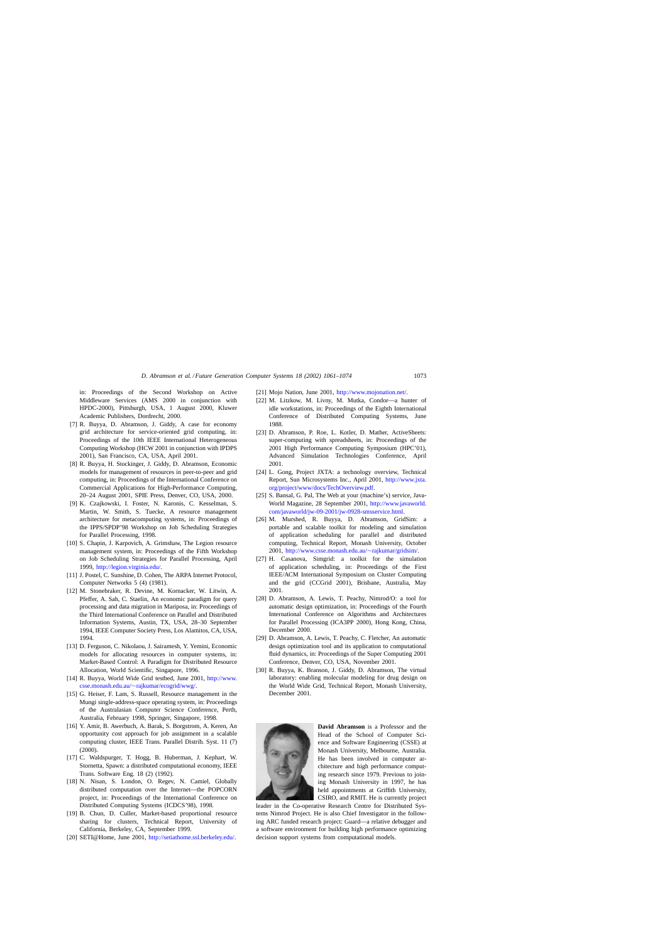<span id="page-12-0"></span>in: Proceedings of the Second Workshop on Active Middleware Services (AMS 2000 in conjunction with HPDC-2000), Pittsburgh, USA, 1 August 2000, Kluwer Academic Publishers, Dordrecht, 2000.

- [7] R. Buyya, D. Abramson, J. Giddy, A case for economy grid architecture for service-oriented grid computing, in: Proceedings of the 10th IEEE International Heterogeneous Computing Workshop (HCW 2001 in conjunction with IPDPS 2001), San Francisco, CA, USA, April 2001.
- [8] R. Buyya, H. Stockinger, J. Giddy, D. Abramson, Economic models for management of resources in peer-to-peer and grid computing, in: Proceedings of the International Conference on Commercial Applications for High-Performance Computing, 20–24 August 2001, SPIE Press, Denver, CO, USA, 2000.
- [9] K. Czajkowski, I. Foster, N. Karonis, C. Kesselman, S. Martin, W. Smith, S. Tuecke, A resource management architecture for metacomputing systems, in: Proceedings of the IPPS/SPDP'98 Workshop on Job Scheduling Strategies for Parallel Processing, 1998.
- [10] S. Chapin, J. Karpovich, A. Grimshaw, The Legion resource management system, in: Proceedings of the Fifth Workshop on Job Scheduling Strategies for Parallel Processing, April 1999, [http://legion.virginia.edu/.](http://legion.virginia.edu/)
- [11] J. Postel, C. Sunshine, D. Cohen, The ARPA Internet Protocol, Computer Networks 5 (4) (1981).
- [12] M. Stonebraker, R. Devine, M. Kornacker, W. Litwin, A. Pfeffer, A. Sah, C. Staelin, An economic paradigm for query processing and data migration in Mariposa, in: Proceedings of the Third International Conference on Parallel and Distributed Information Systems, Austin, TX, USA, 28–30 September 1994, IEEE Computer Society Press, Los Alamitos, CA, USA, 1994.
- [13] D. Ferguson, C. Nikolaou, J. Sairamesh, Y. Yemini, Economic models for allocating resources in computer systems, in: Market-Based Control: A Paradigm for Distributed Resource Allocation, World Scientific, Singapore, 1996.
- [14] R. Buyya, World Wide Grid testbed, June 2001, [http://www.](http://www.csse.monash.edu.au/{protect $
elax ~$}rajkumar/ecogrid/wwg/) csse.monash.edu.au/∼[rajkumar/ecogrid/wwg/.](http://www.csse.monash.edu.au/{protect $
elax ~$}rajkumar/ecogrid/wwg/)
- [15] G. Heiser, F. Lam, S. Russell, Resource management in the Mungi single-address-space operating system, in: Proceedings of the Australasian Computer Science Conference, Perth, Australia, February 1998, Springer, Singapore, 1998.
- [16] Y. Amir, B. Awerbuch, A. Barak, S. Borgstrom, A. Keren, An opportunity cost approach for job assignment in a scalable computing cluster, IEEE Trans. Parallel Distrib. Syst. 11 (7) (2000).
- [17] C. Waldspurger, T. Hogg, B. Huberman, J. Kephart, W. Stornetta, Spawn: a distributed computational economy, IEEE Trans. Software Eng. 18 (2) (1992).
- [18] N. Nisan, S. London, O. Regev, N. Camiel, Globally distributed computation over the Internet—the POPCORN project, in: Proceedings of the International Conference on Distributed Computing Systems (ICDCS'98), 1998.
- [19] B. Chun, D. Culler, Market-based proportional resource sharing for clusters, Technical Report, University of California, Berkeley, CA, September 1999.
- [20] SETI@Home, June 2001, <http://setiathome.ssl.berkeley.edu/>.
- [21] Mojo Nation, June 2001, <http://www.mojonation.net/>.
- [22] M. Litzkow, M. Livny, M. Mutka, Condor—a hunter of idle workstations, in: Proceedings of the Eighth International Conference of Distributed Computing Systems, June 1988.
- [23] D. Abramson, P. Roe, L. Kotler, D. Mather, ActiveSheets: super-computing with spreadsheets, in: Proceedings of the 2001 High Performance Computing Symposium (HPC'01), Advanced Simulation Technologies Conference, April 2001.
- [24] L. Gong, Project JXTA: a technology overview, Technical Report, Sun Microsystems Inc., April 2001, [http://www.jxta.](http://www.jxta.org/project/www/docs/TechOverview.pdf) [org/project/www/docs/TechOverview.pdf.](http://www.jxta.org/project/www/docs/TechOverview.pdf)
- [25] S. Bansal, G. Pal, The Web at your (machine's) service, Java-World Magazine, 28 September 2001, [http://www.javaworld.](http://www.javaworld.com/javaworld/jw-09-2001/jw-0928-smsservice.html) [com/javaworld/jw-09-2001/jw-0928-smsservice.html](http://www.javaworld.com/javaworld/jw-09-2001/jw-0928-smsservice.html).
- [26] M. Murshed, R. Buyya, D. Abramson, GridSim: a portable and scalable toolkit for modeling and simulation of application scheduling for parallel and distributed computing, Technical Report, Monash University, October 2001, [http://www.csse.monash.edu.au/](http://www.csse.monash.edu.au/{protect $
elax ~$}rajkumar/gridsim/)∼rajkumar/gridsim/.
- [27] H. Casanova, Simgrid: a toolkit for the simulation of application scheduling, in: Proceedings of the First IEEE/ACM International Symposium on Cluster Computing and the grid (CCGrid 2001), Brisbane, Australia, May 2001.
- [28] D. Abramson, A. Lewis, T. Peachy, Nimrod/O: a tool for automatic design optimization, in: Proceedings of the Fourth International Conference on Algorithms and Architectures for Parallel Processing (ICA3PP 2000), Hong Kong, China, December 2000.
- [29] D. Abramson, A. Lewis, T. Peachy, C. Fletcher, An automatic design optimization tool and its application to computational fluid dynamics, in: Proceedings of the Super Computing 2001 Conference, Denver, CO, USA, November 2001.
- [30] R. Buyya, K. Branson, J. Giddy, D. Abramson, The virtual laboratory: enabling molecular modeling for drug design on the World Wide Grid, Technical Report, Monash University, December 2001.



**David Abramson** is a Professor and the Head of the School of Computer Science and Software Engineering (CSSE) at Monash University, Melbourne, Australia. He has been involved in computer architecture and high performance computing research since 1979. Previous to joining Monash University in 1997, he has held appointments at Griffith University, CSIRO, and RMIT. He is currently project

leader in the Co-operative Research Centre for Distributed Systems Nimrod Project. He is also Chief Investigator in the following ARC funded research project: Guard—a relative debugger and a software environment for building high performance optimizing decision support systems from computational models.